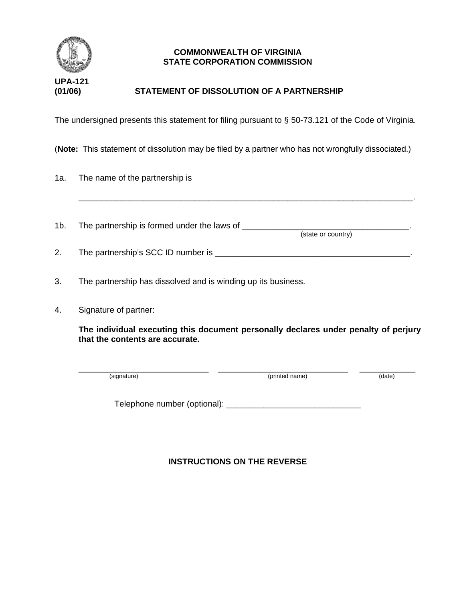

## **COMMONWEALTH OF VIRGINIA STATE CORPORATION COMMISSION**

## **(01/06) STATEMENT OF DISSOLUTION OF A PARTNERSHIP**

The undersigned presents this statement for filing pursuant to § 50-73.121 of the Code of Virginia.

(**Note:** This statement of dissolution may be filed by a partner who has not wrongfully dissociated.)

| 1a. |  |  | The name of the partnership is |  |
|-----|--|--|--------------------------------|--|
|-----|--|--|--------------------------------|--|

1b. The partnership is formed under the laws of \_\_\_\_\_\_\_\_\_\_\_\_\_\_\_\_\_\_\_\_\_\_\_\_\_\_\_\_\_\_\_\_\_ (state or country)

\_\_\_\_\_\_\_\_\_\_\_\_\_\_\_\_\_\_\_\_\_\_\_\_\_\_\_\_\_\_\_\_\_\_\_\_\_\_\_\_\_\_\_\_\_\_\_\_\_\_\_\_\_\_\_\_\_\_\_\_\_\_\_\_\_\_\_\_\_\_\_\_.

| <u>.</u> | The partnership's SCC ID number is |  |
|----------|------------------------------------|--|
|          |                                    |  |

- 3. The partnership has dissolved and is winding up its business.
- 4. Signature of partner:

**The individual executing this document personally declares under penalty of perjury that the contents are accurate.**

\_\_\_\_\_\_\_\_\_\_\_\_\_\_\_\_\_\_\_\_\_\_\_\_\_\_\_\_ \_\_\_\_\_\_\_\_\_\_\_\_\_\_\_\_\_\_\_\_\_\_\_\_\_\_\_\_ \_\_\_\_\_\_\_\_\_\_\_\_ (signature) (given a structure of the structure of the structure of the structure of the structure of the structure of the structure of the structure of the structure of the structure of the structure of the structure of t

Telephone number (optional): \_\_\_\_\_\_\_\_\_\_\_\_\_\_\_\_\_\_\_\_\_\_\_\_\_\_\_\_\_

## **INSTRUCTIONS ON THE REVERSE**